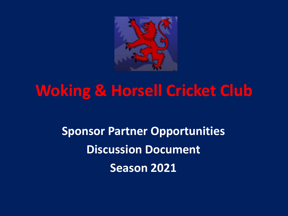

## **Woking & Horsell Cricket Club**

**Sponsor Partner Opportunities Discussion Document Season 2021**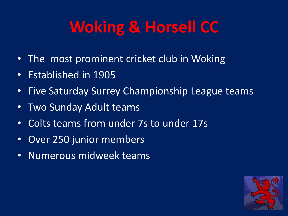# **Woking & Horsell CC**

- The most prominent cricket club in Woking
- Established in 1905
- Five Saturday Surrey Championship League teams
- Two Sunday Adult teams
- Colts teams from under 7s to under 17s
- Over 250 junior members
- Numerous midweek teams

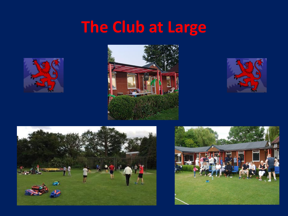# **The Club at Large**









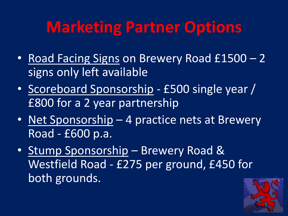## **Marketing Partner Options**

- Road Facing Signs on Brewery Road £1500 2 signs only left available
- Scoreboard Sponsorship £500 single year / £800 for a 2 year partnership
- Net Sponsorship 4 practice nets at Brewery Road - £600 p.a.
- Stump Sponsorship Brewery Road & Westfield Road - £275 per ground, £450 for both grounds.

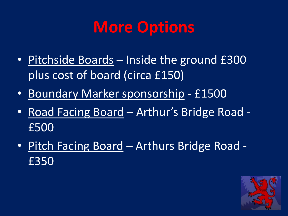#### **More Options**

- Pitchside Boards Inside the ground £300 plus cost of board (circa £150)
- Boundary Marker sponsorship £1500
- Road Facing Board Arthur's Bridge Road £500
- Pitch Facing Board Arthurs Bridge Road £350

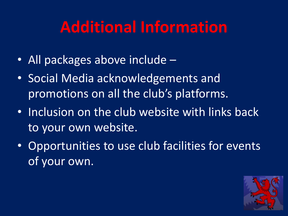## **Additional Information**

- All packages above include –
- Social Media acknowledgements and promotions on all the club's platforms.
- Inclusion on the club website with links back to your own website.
- Opportunities to use club facilities for events of your own.

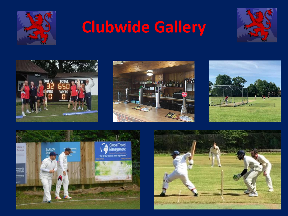

# **Clubwide Gallery**